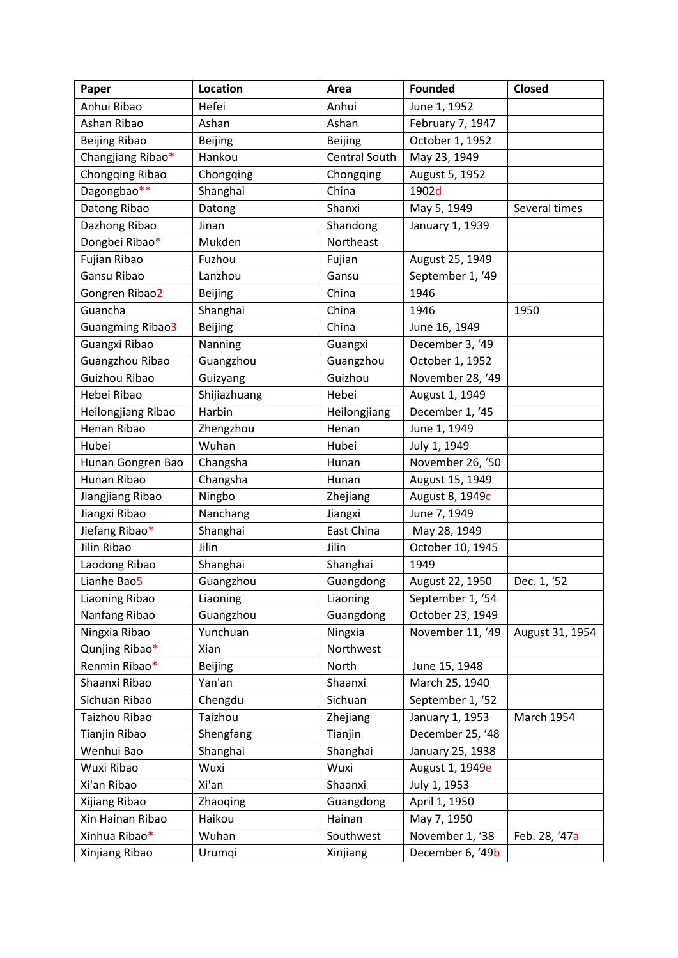| Paper                | Location       | Area                 | <b>Founded</b>   | Closed          |
|----------------------|----------------|----------------------|------------------|-----------------|
| Anhui Ribao          | Hefei          | Anhui                | June 1, 1952     |                 |
| Ashan Ribao          | Ashan          | Ashan                | February 7, 1947 |                 |
| <b>Beijing Ribao</b> | <b>Beijing</b> | <b>Beijing</b>       | October 1, 1952  |                 |
| Changjiang Ribao*    | Hankou         | <b>Central South</b> | May 23, 1949     |                 |
| Chongqing Ribao      | Chongqing      | Chongqing            | August 5, 1952   |                 |
| Dagongbao**          | Shanghai       | China                | 1902d            |                 |
| Datong Ribao         | Datong         | Shanxi               | May 5, 1949      | Several times   |
| Dazhong Ribao        | Jinan          | Shandong             | January 1, 1939  |                 |
| Dongbei Ribao*       | Mukden         | Northeast            |                  |                 |
| Fujian Ribao         | Fuzhou         | Fujian               | August 25, 1949  |                 |
| Gansu Ribao          | Lanzhou        | Gansu                | September 1, '49 |                 |
| Gongren Ribao2       | <b>Beijing</b> | China                | 1946             |                 |
| Guancha              | Shanghai       | China                | 1946             | 1950            |
| Guangming Ribao3     | <b>Beijing</b> | China                | June 16, 1949    |                 |
| Guangxi Ribao        | Nanning        | Guangxi              | December 3, '49  |                 |
| Guangzhou Ribao      | Guangzhou      | Guangzhou            | October 1, 1952  |                 |
| Guizhou Ribao        | Guizyang       | Guizhou              | November 28, '49 |                 |
| Hebei Ribao          | Shijiazhuang   | Hebei                | August 1, 1949   |                 |
| Heilongjiang Ribao   | Harbin         | Heilongjiang         | December 1, '45  |                 |
| Henan Ribao          | Zhengzhou      | Henan                | June 1, 1949     |                 |
| Hubei                | Wuhan          | Hubei                | July 1, 1949     |                 |
| Hunan Gongren Bao    | Changsha       | Hunan                | November 26, '50 |                 |
| Hunan Ribao          | Changsha       | Hunan                | August 15, 1949  |                 |
| Jiangjiang Ribao     | Ningbo         | Zhejiang             | August 8, 1949c  |                 |
| Jiangxi Ribao        | Nanchang       | Jiangxi              | June 7, 1949     |                 |
| Jiefang Ribao*       | Shanghai       | East China           | May 28, 1949     |                 |
| Jilin Ribao          | Jilin          | Jilin                | October 10, 1945 |                 |
| Laodong Ribao        | Shanghai       | Shanghai             | 1949             |                 |
| Lianhe Bao5          | Guangzhou      | Guangdong            | August 22, 1950  | Dec. 1, '52     |
| Liaoning Ribao       | Liaoning       | Liaoning             | September 1, '54 |                 |
| Nanfang Ribao        | Guangzhou      | Guangdong            | October 23, 1949 |                 |
| Ningxia Ribao        | Yunchuan       | Ningxia              | November 11, '49 | August 31, 1954 |
| Qunjing Ribao*       | Xian           | Northwest            |                  |                 |
| Renmin Ribao*        | <b>Beijing</b> | North                | June 15, 1948    |                 |
| Shaanxi Ribao        | Yan'an         | Shaanxi              | March 25, 1940   |                 |
| Sichuan Ribao        | Chengdu        | Sichuan              | September 1, '52 |                 |
| Taizhou Ribao        | Taizhou        | Zhejiang             | January 1, 1953  | March 1954      |
| Tianjin Ribao        | Shengfang      | Tianjin              | December 25, '48 |                 |
| Wenhui Bao           | Shanghai       | Shanghai             | January 25, 1938 |                 |
| Wuxi Ribao           | Wuxi           | Wuxi                 | August 1, 1949e  |                 |
| Xi'an Ribao          | Xi'an          | Shaanxi              | July 1, 1953     |                 |
| Xijiang Ribao        | Zhaoqing       | Guangdong            | April 1, 1950    |                 |
| Xin Hainan Ribao     | Haikou         | Hainan               | May 7, 1950      |                 |
| Xinhua Ribao*        | Wuhan          | Southwest            | November 1, '38  | Feb. 28, '47a   |
| Xinjiang Ribao       | Urumqi         | Xinjiang             | December 6, '49b |                 |